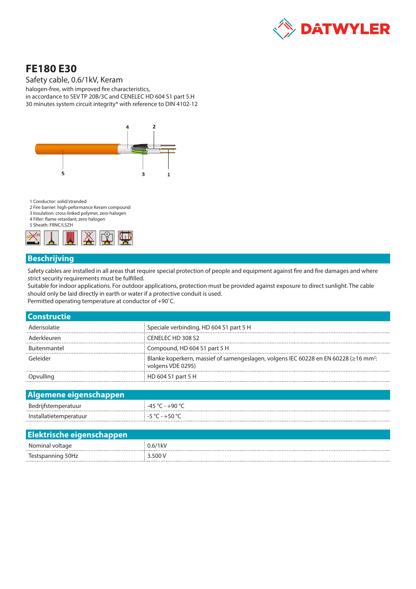

# **FE180 E30**

Safety cable, 0.6/1kV, Keram

halogen-free, with improved fire characteristics, in accordance to SEV TP 20B/3C and CENELEC HD 604 S1 part 5.H 30 minutes system circuit integrity\* with reference to DIN 4102-12



1 Conductor: solid/stranded

- 2 Fire barrier: high-peformance Keram compound
- 3 Insulation: cross-linked polymer, zero halogen 4 Filler: flame retardant, zero halogen

5 Sheath: FRNC/LSZH



## **Beschrijving**

Safety cables are installed in all areas that require special protection of people and equipment against fire and fire damages and where strict security requirements must be fulfilled.

Suitable for indoor applications. For outdoor applications, protection must be provided against exposure to direct sunlight. The cable should only be laid directly in earth or water if a protective conduit is used. Permitted operating temperature at conductor of +90˚C.

| <b>Constructie</b>  |                                                                                                                       |
|---------------------|-----------------------------------------------------------------------------------------------------------------------|
| Aderisolatie        | Speciale verbinding, HD 604 S1 part 5 H                                                                               |
| Aderkleuren         | CENELEC HD 308 S2                                                                                                     |
| <b>Buitenmantel</b> | Compound, HD 604 S1 part 5 H                                                                                          |
| Geleider            | Blanke koperkern, massief of samengeslagen, volgens IEC 60228 en EN 60228 (≥16 mm <sup>2</sup> :<br>volgens VDE 0295) |
|                     | HD 604 S1 part 5 H                                                                                                    |

| Algemene eigenschappen |                                 |  |  |  |  |
|------------------------|---------------------------------|--|--|--|--|
| Bedrijfstemperatuur    | $-45\degree$ C - $+90\degree$ C |  |  |  |  |
| Installatietemperatuur | : −5 °C – +50 °C                |  |  |  |  |

| Elektrische eigenschappen |            |
|---------------------------|------------|
| Nominal voltage           | $0.6/1$ kV |
| Testspanning 50Hz         | 3.500 V    |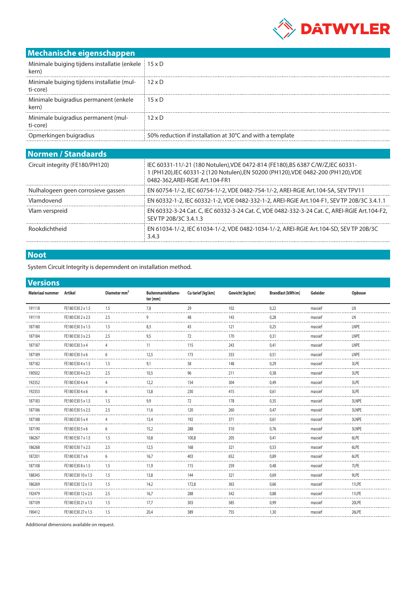

# **Mechanische eigenschappen**

| Minimale buiging tijdens installatie (enkele   15 x D<br>kern) |                                                           |
|----------------------------------------------------------------|-----------------------------------------------------------|
| Minimale buiging tijdens installatie (mul-<br>ti-core)         | $12 \times D$                                             |
| Minimale buigradius permanent (enkele<br>kern)                 | $15 \times D$                                             |
| Minimale buigradius permanent (mul-<br>ti-core)                | $12 \times D$                                             |
| Opmerkingen buigradius                                         | 50% reduction if installation at 30°C and with a template |
|                                                                |                                                           |

| <b>Normen / Standaards</b>                                                                                                                                                                         |  |  |  |  |  |
|----------------------------------------------------------------------------------------------------------------------------------------------------------------------------------------------------|--|--|--|--|--|
| IEC 60331-11/-21 (180 Notulen), VDE 0472-814 (FE180), BS 6387 C/W/Z, IEC 60331-<br>l (PH120),IEC 60331-2 (120 Notulen),EN 50200 (PH120),VDE 0482-200 (PH120),VDE<br>0482-362.AREI-RGIE Art.104-FR1 |  |  |  |  |  |
| EN 60754-1/-2, IEC 60754-1/-2, VDE 0482-754-1/-2, AREI-RGIE Art.104-SA, SEV TPV11                                                                                                                  |  |  |  |  |  |
| EN 60332-1-2, IEC 60332-1-2, VDE 0482-332-1-2, AREI-RGIE Art.104-F1, SEV TP 20B/3C 3.4.1.1                                                                                                         |  |  |  |  |  |
| EN 60332-3-24 Cat. C, IEC 60332-3-24 Cat. C, VDE 0482-332-3-24 Cat. C, AREI-RGIE Art.104-F2,<br>SEV TP 20B/3C 3.4.1.3                                                                              |  |  |  |  |  |
| EN 61034-1/-2, IEC 61034-1/-2, VDE 0482-1034-1/-2, AREI-RGIE Art.104-SD, SEV TP 20B/3C<br>3.4.3                                                                                                    |  |  |  |  |  |
|                                                                                                                                                                                                    |  |  |  |  |  |

## **Noot**

System Circuit Integrity is depemndent on installation method.

#### **Versions**

| FE180 E30 2 x 1.5<br>29<br>102<br>0,22<br>massief<br><b>LN</b><br>191118<br>1.5<br>7,8<br>143<br>LN<br>9<br>48<br>0,28<br>191119<br>FE180 E30 2 x 2.5<br>2.5<br>massief<br>121<br>LNPE<br>187180<br>FE180 E30 3 x 1.5<br>8,3<br>43<br>0,25<br>1.5<br>massief<br>170<br>LNPE<br>FE180 E30 3 x 2.5<br>9,5<br>72<br>0,31<br>187184<br>2.5<br>massief<br>243<br>LNPE<br>187187<br>FE180 E30 3 x 4<br>115<br>0,41<br>massief<br>11<br>$\Delta$<br>LNPE<br>173<br>333<br>187189<br>FE180 E30 3 x 6<br>6<br>12,5<br>0,51<br>massief<br>148<br>3LPE<br>187182<br>FE180 E30 4 x 1.5<br>9,1<br>58<br>0,29<br>massief<br>1.5<br>3LPE<br>2.5<br>96<br>211<br>0,38<br>190502<br>FE180 E30 4 x 2.5<br>10,5<br>massief<br>3LPE<br>12,2<br>304<br>192352<br>FE180 E30 4 x 4<br>154<br>0,49<br>massief<br>3LPE<br>13,8<br>230<br>415<br>192353<br>FE180 E30 4 x 6<br>6<br>0,61<br>massief<br>9,9<br>178<br>72<br>3LNPE<br>187183<br>FE180 E30 5 x 1.5<br>1.5<br>0,35<br>massief<br>260<br>FE180 E30 5 x 2.5<br>2.5<br>120<br>0,47<br>3LNPE<br>187186<br>11,6<br>massief<br>192<br>371<br>3LNPE<br>187188<br>FE180 E30 5 x 4<br>13,4<br>0,61<br>massief<br>288<br>510<br>3LNPE<br>FE180 E30 5 x 6<br>6<br>15,2<br>0,76<br>187190<br>massief<br>10,8<br>100,8<br>205<br>6LPE<br>186267<br>FE180 E30 7 x 1.5<br>1.5<br>0,41<br>massief<br>321<br>6LPE<br>FE180 E30 7 x 2.5<br>2.5<br>12,5<br>168<br>0,53<br>186268<br>massief<br>16,7<br>403<br>652<br>6LPE<br>0,89<br>187201<br>FE180 E30 7 x 6<br>$6\overline{6}$<br>massief<br>259<br>7LPE<br>FE180 E30 8 x 1.5<br>1.5<br>11,9<br>115<br>0,48<br>187108<br>massief<br>321<br>9LPE<br>1.5<br>13,8<br>144<br>0,69<br>188345<br>FE180 E30 10 x 1.5<br>massief<br>14,2<br>172,8<br>363<br>11LPE<br>186269<br>FE180 E30 12 x 1.5<br>1.5<br>0.66<br>massief<br>542<br>11LPE<br>2.5<br>16,7<br>288<br>192479<br>FE180 E30 12 x 2.5<br>0,88<br>massief<br>303<br>585<br>20LPE<br>FE180 E30 21 x 1.5<br>1.5<br>17,7<br>0,99<br>187109<br>massief | Materiaal nummer Artikel | Diameter mm <sup>2</sup> | Buitenmanteldiame-<br>ter [mm] | Cu tarief [kg\km] | Gewicht [kg\km] | Brandlast [kWh\m] | Geleider | Opbouw |
|------------------------------------------------------------------------------------------------------------------------------------------------------------------------------------------------------------------------------------------------------------------------------------------------------------------------------------------------------------------------------------------------------------------------------------------------------------------------------------------------------------------------------------------------------------------------------------------------------------------------------------------------------------------------------------------------------------------------------------------------------------------------------------------------------------------------------------------------------------------------------------------------------------------------------------------------------------------------------------------------------------------------------------------------------------------------------------------------------------------------------------------------------------------------------------------------------------------------------------------------------------------------------------------------------------------------------------------------------------------------------------------------------------------------------------------------------------------------------------------------------------------------------------------------------------------------------------------------------------------------------------------------------------------------------------------------------------------------------------------------------------------------------------------------------------------------------------------------------------------------------------------------------------------------------------------------------------------------|--------------------------|--------------------------|--------------------------------|-------------------|-----------------|-------------------|----------|--------|
|                                                                                                                                                                                                                                                                                                                                                                                                                                                                                                                                                                                                                                                                                                                                                                                                                                                                                                                                                                                                                                                                                                                                                                                                                                                                                                                                                                                                                                                                                                                                                                                                                                                                                                                                                                                                                                                                                                                                                                        |                          |                          |                                |                   |                 |                   |          |        |
|                                                                                                                                                                                                                                                                                                                                                                                                                                                                                                                                                                                                                                                                                                                                                                                                                                                                                                                                                                                                                                                                                                                                                                                                                                                                                                                                                                                                                                                                                                                                                                                                                                                                                                                                                                                                                                                                                                                                                                        |                          |                          |                                |                   |                 |                   |          |        |
|                                                                                                                                                                                                                                                                                                                                                                                                                                                                                                                                                                                                                                                                                                                                                                                                                                                                                                                                                                                                                                                                                                                                                                                                                                                                                                                                                                                                                                                                                                                                                                                                                                                                                                                                                                                                                                                                                                                                                                        |                          |                          |                                |                   |                 |                   |          |        |
|                                                                                                                                                                                                                                                                                                                                                                                                                                                                                                                                                                                                                                                                                                                                                                                                                                                                                                                                                                                                                                                                                                                                                                                                                                                                                                                                                                                                                                                                                                                                                                                                                                                                                                                                                                                                                                                                                                                                                                        |                          |                          |                                |                   |                 |                   |          |        |
|                                                                                                                                                                                                                                                                                                                                                                                                                                                                                                                                                                                                                                                                                                                                                                                                                                                                                                                                                                                                                                                                                                                                                                                                                                                                                                                                                                                                                                                                                                                                                                                                                                                                                                                                                                                                                                                                                                                                                                        |                          |                          |                                |                   |                 |                   |          |        |
|                                                                                                                                                                                                                                                                                                                                                                                                                                                                                                                                                                                                                                                                                                                                                                                                                                                                                                                                                                                                                                                                                                                                                                                                                                                                                                                                                                                                                                                                                                                                                                                                                                                                                                                                                                                                                                                                                                                                                                        |                          |                          |                                |                   |                 |                   |          |        |
|                                                                                                                                                                                                                                                                                                                                                                                                                                                                                                                                                                                                                                                                                                                                                                                                                                                                                                                                                                                                                                                                                                                                                                                                                                                                                                                                                                                                                                                                                                                                                                                                                                                                                                                                                                                                                                                                                                                                                                        |                          |                          |                                |                   |                 |                   |          |        |
|                                                                                                                                                                                                                                                                                                                                                                                                                                                                                                                                                                                                                                                                                                                                                                                                                                                                                                                                                                                                                                                                                                                                                                                                                                                                                                                                                                                                                                                                                                                                                                                                                                                                                                                                                                                                                                                                                                                                                                        |                          |                          |                                |                   |                 |                   |          |        |
|                                                                                                                                                                                                                                                                                                                                                                                                                                                                                                                                                                                                                                                                                                                                                                                                                                                                                                                                                                                                                                                                                                                                                                                                                                                                                                                                                                                                                                                                                                                                                                                                                                                                                                                                                                                                                                                                                                                                                                        |                          |                          |                                |                   |                 |                   |          |        |
|                                                                                                                                                                                                                                                                                                                                                                                                                                                                                                                                                                                                                                                                                                                                                                                                                                                                                                                                                                                                                                                                                                                                                                                                                                                                                                                                                                                                                                                                                                                                                                                                                                                                                                                                                                                                                                                                                                                                                                        |                          |                          |                                |                   |                 |                   |          |        |
|                                                                                                                                                                                                                                                                                                                                                                                                                                                                                                                                                                                                                                                                                                                                                                                                                                                                                                                                                                                                                                                                                                                                                                                                                                                                                                                                                                                                                                                                                                                                                                                                                                                                                                                                                                                                                                                                                                                                                                        |                          |                          |                                |                   |                 |                   |          |        |
|                                                                                                                                                                                                                                                                                                                                                                                                                                                                                                                                                                                                                                                                                                                                                                                                                                                                                                                                                                                                                                                                                                                                                                                                                                                                                                                                                                                                                                                                                                                                                                                                                                                                                                                                                                                                                                                                                                                                                                        |                          |                          |                                |                   |                 |                   |          |        |
|                                                                                                                                                                                                                                                                                                                                                                                                                                                                                                                                                                                                                                                                                                                                                                                                                                                                                                                                                                                                                                                                                                                                                                                                                                                                                                                                                                                                                                                                                                                                                                                                                                                                                                                                                                                                                                                                                                                                                                        |                          |                          |                                |                   |                 |                   |          |        |
|                                                                                                                                                                                                                                                                                                                                                                                                                                                                                                                                                                                                                                                                                                                                                                                                                                                                                                                                                                                                                                                                                                                                                                                                                                                                                                                                                                                                                                                                                                                                                                                                                                                                                                                                                                                                                                                                                                                                                                        |                          |                          |                                |                   |                 |                   |          |        |
|                                                                                                                                                                                                                                                                                                                                                                                                                                                                                                                                                                                                                                                                                                                                                                                                                                                                                                                                                                                                                                                                                                                                                                                                                                                                                                                                                                                                                                                                                                                                                                                                                                                                                                                                                                                                                                                                                                                                                                        |                          |                          |                                |                   |                 |                   |          |        |
|                                                                                                                                                                                                                                                                                                                                                                                                                                                                                                                                                                                                                                                                                                                                                                                                                                                                                                                                                                                                                                                                                                                                                                                                                                                                                                                                                                                                                                                                                                                                                                                                                                                                                                                                                                                                                                                                                                                                                                        |                          |                          |                                |                   |                 |                   |          |        |
|                                                                                                                                                                                                                                                                                                                                                                                                                                                                                                                                                                                                                                                                                                                                                                                                                                                                                                                                                                                                                                                                                                                                                                                                                                                                                                                                                                                                                                                                                                                                                                                                                                                                                                                                                                                                                                                                                                                                                                        |                          |                          |                                |                   |                 |                   |          |        |
|                                                                                                                                                                                                                                                                                                                                                                                                                                                                                                                                                                                                                                                                                                                                                                                                                                                                                                                                                                                                                                                                                                                                                                                                                                                                                                                                                                                                                                                                                                                                                                                                                                                                                                                                                                                                                                                                                                                                                                        |                          |                          |                                |                   |                 |                   |          |        |
|                                                                                                                                                                                                                                                                                                                                                                                                                                                                                                                                                                                                                                                                                                                                                                                                                                                                                                                                                                                                                                                                                                                                                                                                                                                                                                                                                                                                                                                                                                                                                                                                                                                                                                                                                                                                                                                                                                                                                                        |                          |                          |                                |                   |                 |                   |          |        |
|                                                                                                                                                                                                                                                                                                                                                                                                                                                                                                                                                                                                                                                                                                                                                                                                                                                                                                                                                                                                                                                                                                                                                                                                                                                                                                                                                                                                                                                                                                                                                                                                                                                                                                                                                                                                                                                                                                                                                                        |                          |                          |                                |                   |                 |                   |          |        |
|                                                                                                                                                                                                                                                                                                                                                                                                                                                                                                                                                                                                                                                                                                                                                                                                                                                                                                                                                                                                                                                                                                                                                                                                                                                                                                                                                                                                                                                                                                                                                                                                                                                                                                                                                                                                                                                                                                                                                                        |                          |                          |                                |                   |                 |                   |          |        |
|                                                                                                                                                                                                                                                                                                                                                                                                                                                                                                                                                                                                                                                                                                                                                                                                                                                                                                                                                                                                                                                                                                                                                                                                                                                                                                                                                                                                                                                                                                                                                                                                                                                                                                                                                                                                                                                                                                                                                                        |                          |                          |                                |                   |                 |                   |          |        |
| 755<br>26LPE<br>190412<br>FE180 E30 27 x 1.5<br>1.5<br>20,4<br>389<br>1,30<br>massief                                                                                                                                                                                                                                                                                                                                                                                                                                                                                                                                                                                                                                                                                                                                                                                                                                                                                                                                                                                                                                                                                                                                                                                                                                                                                                                                                                                                                                                                                                                                                                                                                                                                                                                                                                                                                                                                                  |                          |                          |                                |                   |                 |                   |          |        |

Additional dimensions available on request.